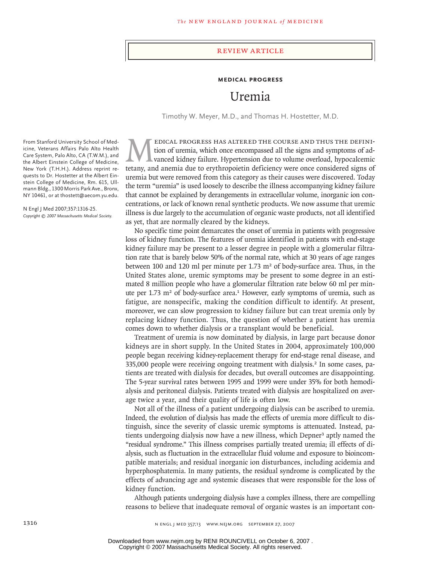#### review article

#### **MEDICAL PROGRESS**

# Uremia

Timothy W. Meyer, M.D., and Thomas H. Hostetter, M.D.

MEDICAL PROGRESS HAS ALTERED THE COURSE AND THUS THE DEFINI-<br>tion of uremia, which once encompassed all the signs and symptoms of ad-<br>tetany, and anemia due to erythropoietin deficiency were once considered signs of tion of uremia, which once encompassed all the signs and symptoms of advanced kidney failure. Hypertension due to volume overload, hypocalcemic tetany, and anemia due to erythropoietin deficiency were once considered signs of uremia but were removed from this category as their causes were discovered. Today the term "uremia" is used loosely to describe the illness accompanying kidney failure that cannot be explained by derangements in extracellular volume, inorganic ion concentrations, or lack of known renal synthetic products. We now assume that uremic illness is due largely to the accumulation of organic waste products, not all identified as yet, that are normally cleared by the kidneys.

No specific time point demarcates the onset of uremia in patients with progressive loss of kidney function. The features of uremia identified in patients with end-stage kidney failure may be present to a lesser degree in people with a glomerular filtration rate that is barely below 50% of the normal rate, which at 30 years of age ranges between 100 and 120 ml per minute per 1.73  $m<sup>2</sup>$  of body-surface area. Thus, in the United States alone, uremic symptoms may be present to some degree in an estimated 8 million people who have a glomerular filtration rate below 60 ml per minute per  $1.73$  m<sup>2</sup> of body-surface area.<sup>1</sup> However, early symptoms of uremia, such as fatigue, are nonspecific, making the condition difficult to identify. At present, moreover, we can slow progression to kidney failure but can treat uremia only by replacing kidney function. Thus, the question of whether a patient has uremia comes down to whether dialysis or a transplant would be beneficial.

Treatment of uremia is now dominated by dialysis, in large part because donor kidneys are in short supply. In the United States in 2004, approximately 100,000 people began receiving kidney-replacement therapy for end-stage renal disease, and 335,000 people were receiving ongoing treatment with dialysis.<sup>2</sup> In some cases, patients are treated with dialysis for decades, but overall outcomes are disappointing. The 5-year survival rates between 1995 and 1999 were under 35% for both hemodialysis and peritoneal dialysis. Patients treated with dialysis are hospitalized on average twice a year, and their quality of life is often low.

Not all of the illness of a patient undergoing dialysis can be ascribed to uremia. Indeed, the evolution of dialysis has made the effects of uremia more difficult to distinguish, since the severity of classic uremic symptoms is attenuated. Instead, patients undergoing dialysis now have a new illness, which Depner<sup>3</sup> aptly named the "residual syndrome." This illness comprises partially treated uremia; ill effects of dialysis, such as fluctuation in the extracellular fluid volume and exposure to bioincompatible materials; and residual inorganic ion disturbances, including acidemia and hyperphosphatemia. In many patients, the residual syndrome is complicated by the effects of advancing age and systemic diseases that were responsible for the loss of kidney function.

Although patients undergoing dialysis have a complex illness, there are compelling reasons to believe that inadequate removal of organic wastes is an important con-

From Stanford University School of Medicine, Veterans Affairs Palo Alto Health Care System, Palo Alto, CA (T.W.M.), and the Albert Einstein College of Medicine, New York (T.H.H.). Address reprint requests to Dr. Hostetter at the Albert Einstein College of Medicine, Rm. 615, Ullmann Bldg., 1300 Morris Park Ave., Bronx, NY 10461, or at thostett@aecom.yu.edu.

N Engl J Med 2007;357:1316-25. *Copyright © 2007 Massachusetts Medical Society.*

Copyright © 2007 Massachusetts Medical Society. All rights reserved. Downloaded from www.nejm.org by RENI ROUNCIVELL on October 6, 2007 .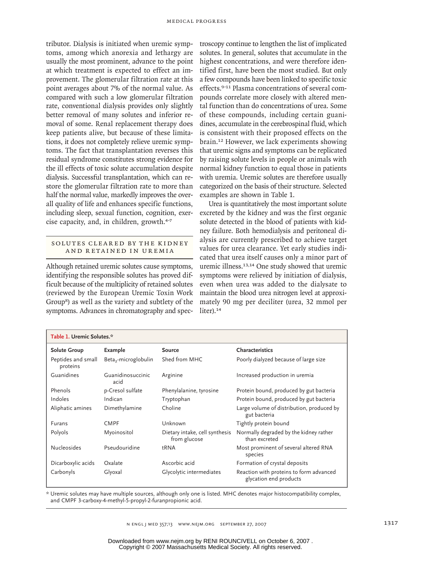tributor. Dialysis is initiated when uremic symptoms, among which anorexia and lethargy are usually the most prominent, advance to the point at which treatment is expected to effect an improvement. The glomerular filtration rate at this point averages about 7% of the normal value. As compared with such a low glomerular filtration rate, conventional dialysis provides only slightly better removal of many solutes and inferior removal of some. Renal replacement therapy does keep patients alive, but because of these limitations, it does not completely relieve uremic symptoms. The fact that transplantation reverses this residual syndrome constitutes strong evidence for the ill effects of toxic solute accumulation despite dialysis. Successful transplantation, which can restore the glomerular filtration rate to more than half the normal value, markedly improves the overall quality of life and enhances specific functions, including sleep, sexual function, cognition, exercise capacity, and, in children, growth.4-7

### SOLUTES CLEARED BY THE KIDNEY AND RETAINED IN UREMIA

Although retained uremic solutes cause symptoms, identifying the responsible solutes has proved difficult because of the multiplicity of retained solutes (reviewed by the European Uremic Toxin Work Group8) as well as the variety and subtlety of the symptoms. Advances in chromatography and spectroscopy continue to lengthen the list of implicated solutes. In general, solutes that accumulate in the highest concentrations, and were therefore identified first, have been the most studied. But only a few compounds have been linked to specific toxic effects.9-11 Plasma concentrations of several compounds correlate more closely with altered mental function than do concentrations of urea. Some of these compounds, including certain guanidines, accumulate in the cerebrospinal fluid, which is consistent with their proposed effects on the brain.12 However, we lack experiments showing that uremic signs and symptoms can be replicated by raising solute levels in people or animals with normal kidney function to equal those in patients with uremia. Uremic solutes are therefore usually categorized on the basis of their structure. Selected examples are shown in Table 1.

Urea is quantitatively the most important solute excreted by the kidney and was the first organic solute detected in the blood of patients with kidney failure. Both hemodialysis and peritoneal dialysis are currently prescribed to achieve target values for urea clearance. Yet early studies indicated that urea itself causes only a minor part of uremic illness.13,14 One study showed that uremic symptoms were relieved by initiation of dialysis, even when urea was added to the dialysate to maintain the blood urea nitrogen level at approximately 90 mg per deciliter (urea, 32 mmol per liter).<sup>14</sup>

| Table 1. Uremic Solutes.*      |                                  |                                                |                                                                   |  |  |  |
|--------------------------------|----------------------------------|------------------------------------------------|-------------------------------------------------------------------|--|--|--|
| <b>Solute Group</b>            | Example                          | <b>Source</b>                                  | Characteristics                                                   |  |  |  |
| Peptides and small<br>proteins | Beta <sub>2</sub> -microglobulin | Shed from MHC                                  | Poorly dialyzed because of large size                             |  |  |  |
| Guanidines                     | Guanidinosuccinic<br>acid        | Arginine                                       | Increased production in uremia                                    |  |  |  |
| Phenols                        | p-Cresol sulfate                 | Phenylalanine, tyrosine                        | Protein bound, produced by gut bacteria                           |  |  |  |
| Indoles                        | Indican                          | Tryptophan                                     | Protein bound, produced by gut bacteria                           |  |  |  |
| Aliphatic amines               | Dimethylamine                    | Choline                                        | Large volume of distribution, produced by<br>gut bacteria         |  |  |  |
| <b>Furans</b>                  | <b>CMPF</b>                      | Unknown                                        | Tightly protein bound                                             |  |  |  |
| Polyols                        | Myoinositol                      | Dietary intake, cell synthesis<br>from glucose | Normally degraded by the kidney rather<br>than excreted           |  |  |  |
| <b>Nucleosides</b>             | Pseudouridine                    | tRNA                                           | Most prominent of several altered RNA<br>species                  |  |  |  |
| Dicarboxylic acids             | Oxalate                          | Ascorbic acid                                  | Formation of crystal deposits                                     |  |  |  |
| Carbonyls                      | Glyoxal                          | Glycolytic intermediates                       | Reaction with proteins to form advanced<br>glycation end products |  |  |  |

\* Uremic solutes may have multiple sources, although only one is listed. MHC denotes major histocompatibility complex, and CMPF 3-carboxy-4-methyl-5-propyl-2-furanpropionic acid.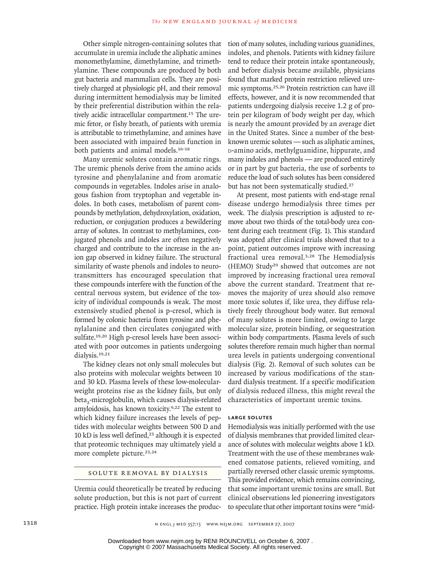Other simple nitrogen-containing solutes that accumulate in uremia include the aliphatic amines monomethylamine, dimethylamine, and trimethylamine. These compounds are produced by both gut bacteria and mammalian cells. They are positively charged at physiologic pH, and their removal during intermittent hemodialysis may be limited by their preferential distribution within the relatively acidic intracellular compartment.<sup>15</sup> The uremic fetor, or fishy breath, of patients with uremia is attributable to trimethylamine, and amines have been associated with impaired brain function in both patients and animal models.16-18

Many uremic solutes contain aromatic rings. The uremic phenols derive from the amino acids tyrosine and phenylalanine and from aromatic compounds in vegetables. Indoles arise in analogous fashion from tryptophan and vegetable indoles. In both cases, metabolism of parent compounds by methylation, dehydroxylation, oxidation, reduction, or conjugation produces a bewildering array of solutes. In contrast to methylamines, conjugated phenols and indoles are often negatively charged and contribute to the increase in the anion gap observed in kidney failure. The structural similarity of waste phenols and indoles to neurotransmitters has encouraged speculation that these compounds interfere with the function of the central nervous system, but evidence of the toxicity of individual compounds is weak. The most extensively studied phenol is p-cresol, which is formed by colonic bacteria from tyrosine and phenylalanine and then circulates conjugated with sulfate.19,20 High p-cresol levels have been associated with poor outcomes in patients undergoing dialysis.19,21

The kidney clears not only small molecules but also proteins with molecular weights between 10 and 30 kD. Plasma levels of these low-molecularweight proteins rise as the kidney fails, but only beta<sub>2</sub>-microglobulin, which causes dialysis-related amyloidosis, has known toxicity.9,22 The extent to which kidney failure increases the levels of peptides with molecular weights between 500 D and 10 kD is less well defined, $23$  although it is expected that proteomic techniques may ultimately yield a more complete picture.<sup>23,24</sup>

### SOLUTE REMOVAL BY DIALYSIS

Uremia could theoretically be treated by reducing solute production, but this is not part of current practice. High protein intake increases the production of many solutes, including various guanidines, indoles, and phenols. Patients with kidney failure tend to reduce their protein intake spontaneously, and before dialysis became available, physicians found that marked protein restriction relieved uremic symptoms.25,26 Protein restriction can have ill effects, however, and it is now recommended that patients undergoing dialysis receive 1.2 g of protein per kilogram of body weight per day, which is nearly the amount provided by an average diet in the United States. Since a number of the bestknown uremic solutes — such as aliphatic amines, d-amino acids, methylguanidine, hippurate, and many indoles and phenols — are produced entirely or in part by gut bacteria, the use of sorbents to reduce the load of such solutes has been considered but has not been systematically studied.<sup>27</sup>

At present, most patients with end-stage renal disease undergo hemodialysis three times per week. The dialysis prescription is adjusted to remove about two thirds of the total-body urea content during each treatment (Fig. 1). This standard was adopted after clinical trials showed that to a point, patient outcomes improve with increasing fractional urea removal.3,28 The Hemodialysis (HEMO) Study29 showed that outcomes are not improved by increasing fractional urea removal above the current standard. Treatment that removes the majority of urea should also remove more toxic solutes if, like urea, they diffuse relatively freely throughout body water. But removal of many solutes is more limited, owing to large molecular size, protein binding, or sequestration within body compartments. Plasma levels of such solutes therefore remain much higher than normal urea levels in patients undergoing conventional dialysis (Fig. 2). Removal of such solutes can be increased by various modifications of the standard dialysis treatment. If a specific modification of dialysis reduced illness, this might reveal the characteristics of important uremic toxins.

#### **Large Solutes**

Hemodialysis was initially performed with the use of dialysis membranes that provided limited clearance of solutes with molecular weights above 1 kD. Treatment with the use of these membranes wakened comatose patients, relieved vomiting, and partially reversed other classic uremic symptoms. This provided evidence, which remains convincing, that some important uremic toxins are small. But clinical observations led pioneering investigators to speculate that other important toxins were "mid-

Copyright © 2007 Massachusetts Medical Society. All rights reserved. Downloaded from www.nejm.org by RENI ROUNCIVELL on October 6, 2007 .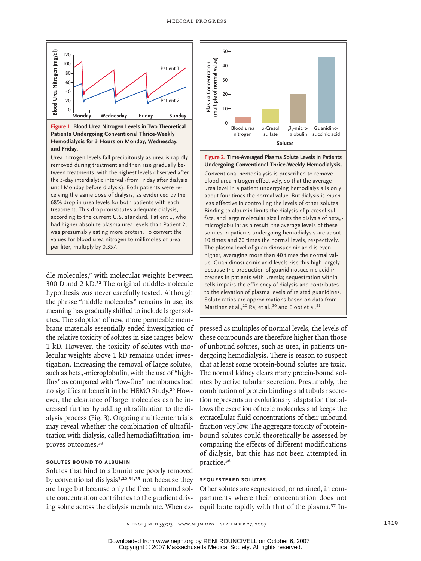

Hemodialysis for 3 Hours on Monday, Wednesday, and Friday. **Figure 1. Blood Urea Nitrogen Levels in Two Theoretical Patients Undergoing Conventional Thrice-Weekly** 

tween treatments, with the highest levels observed after<br>the 3-day interdialytic interval (from Friday after dialysis ana cousy.<br>Urea nitrogen levels fall precipitously as urea is rapidly according to the current U.S. standard. Patient 1, who temoved during treatment and their rise gradually be-<br>tween treatments, with the highest levels observed after removed during treatment and then rise gradually beuntil Monday before dialysis). Both patients were re-**Figure has been redrawn and type has been reset.** ceiving the same dose of dialysis, as evidenced by the 68% drop in urea levels for both patients with each treatment. This drop constitutes adequate dialysis, had higher absolute plasma urea levels than Patient 2, was presumably eating more protein. To convert the values for blood urea nitrogen to millimoles of urea per liter, multiply by 0.357.

dle molecules," with molecular weights between 300 D and 2 kD.32 The original middle-molecule hypothesis was never carefully tested. Although the phrase "middle molecules" remains in use, its meaning has gradually shifted to include larger solutes. The adoption of new, more permeable membrane materials essentially ended investigation of the relative toxicity of solutes in size ranges below 1 kD. However, the toxicity of solutes with molecular weights above 1 kD remains under investigation. Increasing the removal of large solutes, such as beta<sub>2</sub>-microglobulin, with the use of "highflux" as compared with "low-flux" membranes had no significant benefit in the HEMO Study.29 However, the clearance of large molecules can be increased further by adding ultrafiltration to the dialysis process (Fig. 3). Ongoing multicenter trials may reveal whether the combination of ultrafiltration with dialysis, called hemodiafiltration, improves outcomes.<sup>33</sup>

### **Solutes Bound to Albumin**

Solutes that bind to albumin are poorly removed by conventional dialysis<sup>3,20,34,35</sup> not because they are large but because only the free, unbound solute concentration contributes to the gradient driving solute across the dialysis membrane. When ex-



ared teres in a patient and signing nemedialysis is only about four times the normal value. But dialysis is much Undergoing Conventional Thrice-Weekly Hemodialysis. Conventional hemodialysis is prescribed to remove urea level in a patient undergoing hemodialysis is only blood urea nitrogen effectively, so that the average abbat foar inneb and normal valled bat alalysis is maen.<br>less effective in controlling the levels of other solutes. Binding to albumin limits the dialysis of p-cresol sul-**Figure 12** Figure 2012 **Figure 12** Figure 2013 **Carefully** Superior 2013 **Carefully** Superior 2013 **Figure 2. Time-Averaged Plasma Solute Levels in Patients** 

solutes in patients undergoing hemodialysis are about microglobulin; as a result, the average levels of these 10 times and 20 times the normal levels, respectively. The plasma level of guanidinosuccinic acid is even higher, averaging more than 40 times the normal value. Guanidinosuccinic acid levels rise this high largely because the production of guanidinosuccinic acid increases in patients with uremia; sequestration within cells impairs the efficiency of dialysis and contributes to the elevation of plasma levels of related guanidines. Solute ratios are approximations based on data from Martinez et al.,<sup>20</sup> Raj et al.,<sup>30</sup> and Eloot et al.<sup>31</sup>

pressed as multiples of normal levels, the levels of these compounds are therefore higher than those of unbound solutes, such as urea, in patients undergoing hemodialysis. There is reason to suspect that at least some protein-bound solutes are toxic. The normal kidney clears many protein-bound solutes by active tubular secretion. Presumably, the combination of protein binding and tubular secretion represents an evolutionary adaptation that allows the excretion of toxic molecules and keeps the extracellular fluid concentrations of their unbound fraction very low. The aggregate toxicity of proteinbound solutes could theoretically be assessed by comparing the effects of different modifications of dialysis, but this has not been attempted in practice.<sup>36</sup>

### **Sequestered Solutes**

Other solutes are sequestered, or retained, in compartments where their concentration does not equilibrate rapidly with that of the plasma.37 In-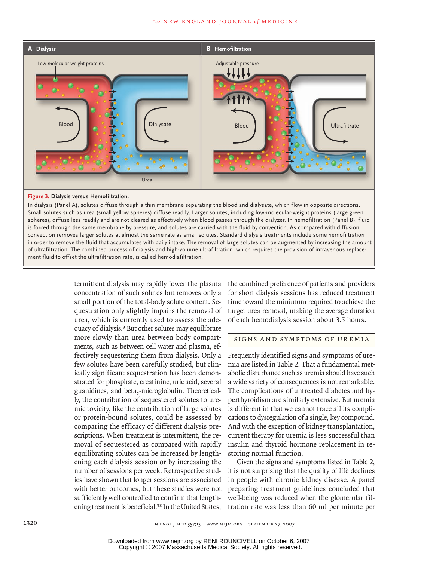

#### **Figure 3. Dialysis versus Hemofiltration.**

In dialysis (Panel A), solutes diffuse through a thin membrane separating the blood and dialysate, which flow in opposite directions. Small solutes such as urea (small yellow spheres) diffuse readily. Larger solutes, including low-molecular-weight proteins (large green spheres), diffuse less readily and are not cleared as effectively when blood passes through the dialyzer. In hemofiltration (Panel B), fluid<br>. Title is forced through the same membrane by pressure, and solutes are carried with the fluid by convection. As compared with diffusion, in order to remove the fluid that accumulates with daily intake. The removal of large solutes can be augmented by increasing the amount ,<br>provision of intravenous of ultrafiltration. The combined process of dialysis and high-volume ultrafiltration, which requires the provision of intravenous replace-<br>ment fluid to offset the ultrafiltration rate-is called hemodiafiltration convection removes larger solutes at almost the same rate as small solutes. Standard dialysis treatments include some hemofiltration ment fluid to offset the ultrafiltration rate, is called hemodiafiltration.

> termittent dialysis may rapidly lower the plasma concentration of such solutes but removes only a small portion of the total-body solute content. Sequestration only slightly impairs the removal of urea, which is currently used to assess the adequacy of dialysis.3 But other solutes may equilibrate more slowly than urea between body compartments, such as between cell water and plasma, effectively sequestering them from dialysis. Only a few solutes have been carefully studied, but clinically significant sequestration has been demonstrated for phosphate, creatinine, uric acid, several guanidines, and beta<sub>2</sub>-microglobulin. Theoretically, the contribution of sequestered solutes to uremic toxicity, like the contribution of large solutes or protein-bound solutes, could be assessed by comparing the efficacy of different dialysis prescriptions. When treatment is intermittent, the removal of sequestered as compared with rapidly equilibrating solutes can be increased by lengthening each dialysis session or by increasing the number of sessions per week. Retrospective studies have shown that longer sessions are associated with better outcomes, but these studies were not sufficiently well controlled to confirm that lengthening treatment is beneficial.<sup>38</sup> In the United States,

the combined preference of patients and providers for short dialysis sessions has reduced treatment time toward the minimum required to achieve the target urea removal, making the average duration of each hemodialysis session about 3.5 hours.

Figure has been redrawn and type has been reset

### SIGNS AND SYMPTOMS OF UREMIA

Frequently identified signs and symptoms of uremia are listed in Table 2. That a fundamental metabolic disturbance such as uremia should have such a wide variety of consequences is not remarkable. The complications of untreated diabetes and hyperthyroidism are similarly extensive. But uremia is different in that we cannot trace all its complications to dysregulation of a single, key compound. And with the exception of kidney transplantation, current therapy for uremia is less successful than insulin and thyroid hormone replacement in restoring normal function.

Given the signs and symptoms listed in Table 2, it is not surprising that the quality of life declines in people with chronic kidney disease. A panel preparing treatment guidelines concluded that well-being was reduced when the glomerular filtration rate was less than 60 ml per minute per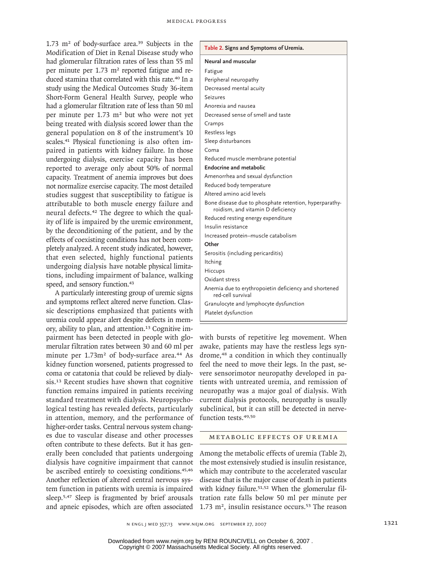1.73  $m<sup>2</sup>$  of body-surface area.<sup>39</sup> Subjects in the Modification of Diet in Renal Disease study who had glomerular filtration rates of less than 55 ml per minute per  $1.73 \text{ m}^2$  reported fatigue and reduced stamina that correlated with this rate.<sup>40</sup> In a study using the Medical Outcomes Study 36-item Short-Form General Health Survey, people who had a glomerular filtration rate of less than 50 ml per minute per  $1.73 \text{ m}^2$  but who were not yet being treated with dialysis scored lower than the general population on 8 of the instrument's 10 scales.41 Physical functioning is also often impaired in patients with kidney failure. In those undergoing dialysis, exercise capacity has been reported to average only about 50% of normal capacity. Treatment of anemia improves but does not normalize exercise capacity. The most detailed studies suggest that susceptibility to fatigue is attributable to both muscle energy failure and neural defects.<sup>42</sup> The degree to which the quality of life is impaired by the uremic environment, by the deconditioning of the patient, and by the effects of coexisting conditions has not been completely analyzed. A recent study indicated, however, that even selected, highly functional patients undergoing dialysis have notable physical limitations, including impairment of balance, walking speed, and sensory function.<sup>43</sup>

A particularly interesting group of uremic signs and symptoms reflect altered nerve function. Classic descriptions emphasized that patients with uremia could appear alert despite defects in memory, ability to plan, and attention.<sup>13</sup> Cognitive impairment has been detected in people with glomerular filtration rates between 30 and 60 ml per minute per 1.73m<sup>2</sup> of body-surface area.<sup>44</sup> As kidney function worsened, patients progressed to coma or catatonia that could be relieved by dialysis.13 Recent studies have shown that cognitive function remains impaired in patients receiving standard treatment with dialysis. Neuropsychological testing has revealed defects, particularly in attention, memory, and the performance of higher-order tasks. Central nervous system changes due to vascular disease and other processes often contribute to these defects. But it has generally been concluded that patients undergoing dialysis have cognitive impairment that cannot be ascribed entirely to coexisting conditions.<sup>45,46</sup> Another reflection of altered central nervous system function in patients with uremia is impaired sleep.5,47 Sleep is fragmented by brief arousals and apneic episodes, which are often associated

### **Table 2. Signs and Symptoms of Uremia.**

|  |  |  | Neural and muscular |  |
|--|--|--|---------------------|--|
|--|--|--|---------------------|--|

| Fatigue                                                                                     |
|---------------------------------------------------------------------------------------------|
| Peripheral neuropathy                                                                       |
| Decreased mental acuity                                                                     |
| <b>Seizures</b>                                                                             |
| Anorexia and nausea                                                                         |
| Decreased sense of smell and taste                                                          |
| Cramps                                                                                      |
| Restless legs                                                                               |
| Sleep disturbances                                                                          |
| Coma                                                                                        |
| Reduced muscle membrane potential                                                           |
| Endocrine and metabolic                                                                     |
| Amenorrhea and sexual dysfunction                                                           |
| Reduced body temperature                                                                    |
| Altered amino acid levels                                                                   |
| Bone disease due to phosphate retention, hyperparathy-<br>roidism, and vitamin D deficiency |
| Reduced resting energy expenditure                                                          |
| Insulin resistance                                                                          |
| Increased protein-muscle catabolism                                                         |
| Other                                                                                       |
| Serositis (including pericarditis)                                                          |
| Itching                                                                                     |
| <b>Hiccups</b>                                                                              |
| Oxidant stress                                                                              |
| Anemia due to erythropoietin deficiency and shortened<br>red-cell survival                  |
| Granulocyte and lymphocyte dysfunction                                                      |
| Platelet dysfunction                                                                        |
|                                                                                             |

with bursts of repetitive leg movement. When awake, patients may have the restless legs syndrome,48 a condition in which they continually feel the need to move their legs. In the past, severe sensorimotor neuropathy developed in patients with untreated uremia, and remission of neuropathy was a major goal of dialysis. With current dialysis protocols, neuropathy is usually subclinical, but it can still be detected in nervefunction tests.49,50

#### METABOLIC EFFECTS OF UREMIA

Among the metabolic effects of uremia (Table 2), the most extensively studied is insulin resistance, which may contribute to the accelerated vascular disease that is the major cause of death in patients with kidney failure.<sup>51,52</sup> When the glomerular filtration rate falls below 50 ml per minute per 1.73 m<sup>2</sup>, insulin resistance occurs.<sup>53</sup> The reason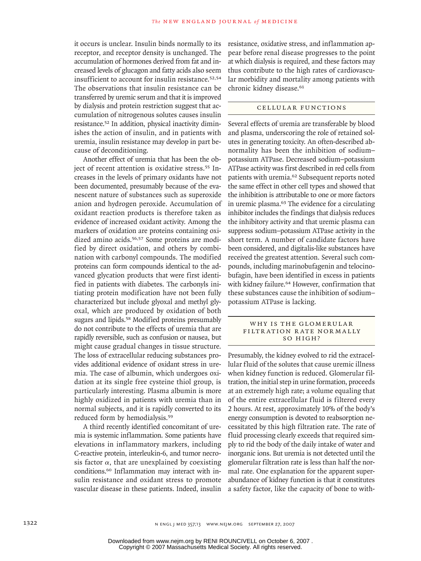it occurs is unclear. Insulin binds normally to its receptor, and receptor density is unchanged. The accumulation of hormones derived from fat and increased levels of glucagon and fatty acids also seem insufficient to account for insulin resistance.52,54 The observations that insulin resistance can be transferred by uremic serum and that it is improved by dialysis and protein restriction suggest that accumulation of nitrogenous solutes causes insulin resistance.52 In addition, physical inactivity diminishes the action of insulin, and in patients with uremia, insulin resistance may develop in part because of deconditioning.

Another effect of uremia that has been the object of recent attention is oxidative stress.<sup>55</sup> Increases in the levels of primary oxidants have not been documented, presumably because of the evanescent nature of substances such as superoxide anion and hydrogen peroxide. Accumulation of oxidant reaction products is therefore taken as evidence of increased oxidant activity. Among the markers of oxidation are proteins containing oxidized amino acids.<sup>56,57</sup> Some proteins are modified by direct oxidation, and others by combination with carbonyl compounds. The modified proteins can form compounds identical to the advanced glycation products that were first identified in patients with diabetes. The carbonyls initiating protein modification have not been fully characterized but include glyoxal and methyl glyoxal, which are produced by oxidation of both sugars and lipids.58 Modified proteins presumably do not contribute to the effects of uremia that are rapidly reversible, such as confusion or nausea, but might cause gradual changes in tissue structure. The loss of extracellular reducing substances provides additional evidence of oxidant stress in uremia. The case of albumin, which undergoes oxidation at its single free cysteine thiol group, is particularly interesting. Plasma albumin is more highly oxidized in patients with uremia than in normal subjects, and it is rapidly converted to its reduced form by hemodialysis.<sup>59</sup>

A third recently identified concomitant of uremia is systemic inflammation. Some patients have elevations in inflammatory markers, including C-reactive protein, interleukin-6, and tumor necrosis factor  $\alpha$ , that are unexplained by coexisting conditions.60 Inflammation may interact with insulin resistance and oxidant stress to promote vascular disease in these patients. Indeed, insulin resistance, oxidative stress, and inflammation appear before renal disease progresses to the point at which dialysis is required, and these factors may thus contribute to the high rates of cardiovascular morbidity and mortality among patients with chronic kidney disease.<sup>61</sup>

### CELLULAR FUNCTIONS

Several effects of uremia are transferable by blood and plasma, underscoring the role of retained solutes in generating toxicity. An often-described abnormality has been the inhibition of sodium– potassium ATPase. Decreased sodium–potassium ATPase activity was first described in red cells from patients with uremia.62 Subsequent reports noted the same effect in other cell types and showed that the inhibition is attributable to one or more factors in uremic plasma.63 The evidence for a circulating inhibitor includes the findings that dialysis reduces the inhibitory activity and that uremic plasma can suppress sodium–potassium ATPase activity in the short term. A number of candidate factors have been considered, and digitalis-like substances have received the greatest attention. Several such compounds, including marinobufagenin and telocinobufagin, have been identified in excess in patients with kidney failure.<sup>64</sup> However, confirmation that these substances cause the inhibition of sodium– potassium ATPase is lacking.

#### WHY IS THE GLOMERULAR FILTRATION RATE NORMALLY So High?

Presumably, the kidney evolved to rid the extracellular fluid of the solutes that cause uremic illness when kidney function is reduced. Glomerular filtration, the initial step in urine formation, proceeds at an extremely high rate; a volume equaling that of the entire extracellular fluid is filtered every 2 hours. At rest, approximately 10% of the body's energy consumption is devoted to reabsorption necessitated by this high filtration rate. The rate of fluid processing clearly exceeds that required simply to rid the body of the daily intake of water and inorganic ions. But uremia is not detected until the glomerular filtration rate is less than half the normal rate. One explanation for the apparent superabundance of kidney function is that it constitutes a safety factor, like the capacity of bone to with-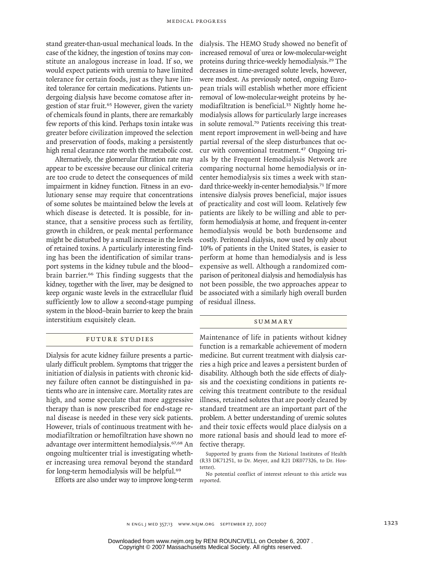stand greater-than-usual mechanical loads. In the case of the kidney, the ingestion of toxins may constitute an analogous increase in load. If so, we would expect patients with uremia to have limited tolerance for certain foods, just as they have limited tolerance for certain medications. Patients undergoing dialysis have become comatose after ingestion of star fruit.<sup>65</sup> However, given the variety of chemicals found in plants, there are remarkably few reports of this kind. Perhaps toxin intake was greater before civilization improved the selection and preservation of foods, making a persistently high renal clearance rate worth the metabolic cost.

Alternatively, the glomerular filtration rate may appear to be excessive because our clinical criteria are too crude to detect the consequences of mild impairment in kidney function. Fitness in an evolutionary sense may require that concentrations of some solutes be maintained below the levels at which disease is detected. It is possible, for instance, that a sensitive process such as fertility, growth in children, or peak mental performance might be disturbed by a small increase in the levels of retained toxins. A particularly interesting finding has been the identification of similar transport systems in the kidney tubule and the blood– brain barrier.66 This finding suggests that the kidney, together with the liver, may be designed to keep organic waste levels in the extracellular fluid sufficiently low to allow a second-stage pumping system in the blood–brain barrier to keep the brain interstitium exquisitely clean.

## FUTURE STUDIES

Dialysis for acute kidney failure presents a particularly difficult problem. Symptoms that trigger the initiation of dialysis in patients with chronic kidney failure often cannot be distinguished in patients who are in intensive care. Mortality rates are high, and some speculate that more aggressive therapy than is now prescribed for end-stage renal disease is needed in these very sick patients. However, trials of continuous treatment with hemodiafiltration or hemofiltration have shown no advantage over intermittent hemodialysis.67,68 An ongoing multicenter trial is investigating whether increasing urea removal beyond the standard for long-term hemodialysis will be helpful.<sup>69</sup>

Efforts are also under way to improve long-term

dialysis. The HEMO Study showed no benefit of increased removal of urea or low-molecular-weight proteins during thrice-weekly hemodialysis.29 The decreases in time-averaged solute levels, however, were modest. As previously noted, ongoing European trials will establish whether more efficient removal of low-molecular-weight proteins by hemodiafiltration is beneficial.33 Nightly home hemodialysis allows for particularly large increases in solute removal.70 Patients receiving this treatment report improvement in well-being and have partial reversal of the sleep disturbances that occur with conventional treatment.47 Ongoing trials by the Frequent Hemodialysis Network are comparing nocturnal home hemodialysis or incenter hemodialysis six times a week with standard thrice-weekly in-center hemodialysis.<sup>71</sup> If more intensive dialysis proves beneficial, major issues of practicality and cost will loom. Relatively few patients are likely to be willing and able to perform hemodialysis at home, and frequent in-center hemodialysis would be both burdensome and costly. Peritoneal dialysis, now used by only about 10% of patients in the United States, is easier to perform at home than hemodialysis and is less expensive as well. Although a randomized comparison of peritoneal dialysis and hemodialysis has not been possible, the two approaches appear to be associated with a similarly high overall burden of residual illness.

#### **SUMMARY**

Maintenance of life in patients without kidney function is a remarkable achievement of modern medicine. But current treatment with dialysis carries a high price and leaves a persistent burden of disability. Although both the side effects of dialysis and the coexisting conditions in patients receiving this treatment contribute to the residual illness, retained solutes that are poorly cleared by standard treatment are an important part of the problem. A better understanding of uremic solutes and their toxic effects would place dialysis on a more rational basis and should lead to more effective therapy.

Supported by grants from the National Institutes of Health (R33 DK71251, to Dr. Meyer, and R21 DK077326, to Dr. Hostetter).

No potential conflict of interest relevant to this article was reported.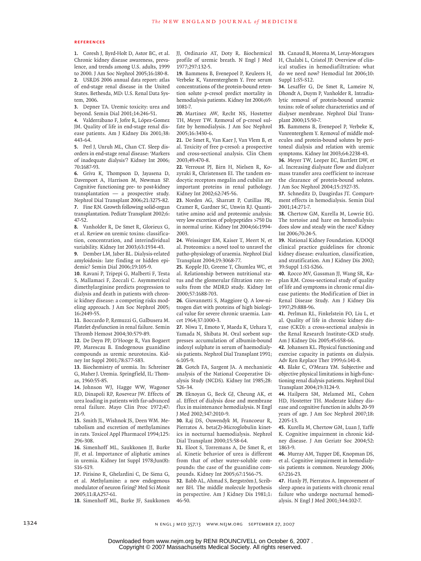#### **References**

Coresh J, Byrd-Holt D, Astor BC, et al. **1.** Chronic kidney disease awareness, prevalence, and trends among U.S. adults, 1999 to 2000. J Am Soc Nephrol 2005;16:180-8. USRDS 2006 annual data report: atlas **2.** of end-stage renal disease in the United States. Bethesda, MD: U.S. Renal Data System, 2006.

Depner TA. Uremic toxicity: urea and **3.** beyond. Semin Dial 2001;14:246-51.

Valderrábano F, Jofre R, López-Gomez **4.** JM. Quality of life in end-stage renal disease patients. Am J Kidney Dis 2001;38: 443-64.

Perl J, Unruh ML, Chan CT. Sleep dis-**5.** orders in end-stage renal disease: 'Markers of inadequate dialysis'? Kidney Int 2006; 70:1687-93.

Griva K, Thompson D, Jayasena D, **6.** Davenport A, Harrison M, Newman SP. Cognitive functioning pre- to post-kidney transplantation — a prospective study. Nephrol Dial Transplant 2006;21:3275-82. Fine RN. Growth following solid-organ **7.** transplantation. Pediatr Transplant 2002;6: 47-52.

Vanholder R, De Smet R, Glorieux G, **8.** et al. Review on uremic toxins: classification, concentration, and interindividual variability. Kidney Int 2003;63:1934-43.

Dember LM, Jaber BL. Dialysis-related **9.** amyloidosis: late finding or hidden epidemic? Semin Dial 2006;19:105-9.

10. Ravani P, Tripepi G, Malberti F, Testa S, Mallamaci F, Zoccali C. Asymmetrical dimethylarginine predicts progression to dialysis and death in patients with chronic kidney disease: a competing risks modeling approach. J Am Soc Nephrol 2005; 16:2449-55.

Boccardo P, Remuzzi G, Galbusera M. **11.** Platelet dysfunction in renal failure. Semin Thromb Hemost 2004;30:579-89.

12. De Deyn PP, D'Hooge R, Van Bogaert PP, Marescau B. Endogenous guanidino compounds as uremic neurotoxins. Kidney Int Suppl 2001;78:S77-S83.

13. Biochemistry of uremia. In: Schreiner G, Maher J. Uremia. Springfield, IL: Thomas, 1960:55-85.

14. Johnson WJ, Hagge WW, Wagoner RD, Dinapoli RP, Rosevear JW. Effects of urea loading in patients with far-advanced renal failure. Mayo Clin Proc 1972;47:  $71-9$ 

15. Smith JL, Wishnok JS, Deen WM. Metabolism and excretion of methylamines in rats. Toxicol Appl Pharmacol 1994;125: 296-308.

16. Simenhoff ML, Saukkonen JJ, Burke JF, et al. Importance of aliphatic amines in uremia. Kidney Int Suppl 1978;Jun(8): S16-S19.

17. Pirisino R, Ghelardini C, De Siena G, et al. Methylamine: a new endogenous modulator of neuron firing? Med Sci Monit 2005;11:RA257-61.

18. Simenhoff ML, Burke JF, Saukkonen

JJ, Ordinario AT, Doty R. Biochemical profile of uremic breath. N Engl J Med 1977;297:132-5.

19. Bammens B, Evenepoel P, Keuleers H, Verbeke K, Vanrenterghem Y. Free serum concentrations of the protein-bound retention solute p-cresol predict mortality in hemodialysis patients. Kidney Int 2006;69: 1081-7.

20. Martinez AW, Recht NS, Hostetter TH, Meyer TW. Removal of p-cresol sulfate by hemodialysis. J Am Soc Nephrol 2005;16:3430-6.

**21.** De Smet R, Van Kaer J, Van Vlem B, et al. Toxicity of free p-cresol: a prospective and cross-sectional analysis. Clin Chem 2003;49:470-8.

**22.** Verroust PJ, Birn H, Nielsen R, Kozyraki R, Christensen EI. The tandem endocytic receptors megalin and cubilin are important proteins in renal pathology. Kidney Int 2002;62:745-56.

Norden AG, Sharratt P, Cutillas PR, **23.** Cramer R, Gardner SC, Unwin RJ. Quantitative amino acid and proteomic analysis: very low excretion of polypeptides >750 Da in normal urine. Kidney Int 2004;66:1994- 2003.

Weissinger EM, Kaiser T, Meert N, et **24.** al. Proteomics: a novel tool to unravel the patho-physiology of uraemia. Nephrol Dial Transplant 2004;19:3068-77.

25. Kopple JD, Greene T, Chumlea WC, et al. Relationship between nutritional status and the glomerular filtration rate: results from the MDRD study. Kidney Int 2000;57:1688-703.

Giovannetti S, Maggiore Q. A low-ni-**26.** trogen diet with proteins of high biological value for severe chronic uraemia. Lancet 1964;37:1000-3.

27. Niwa T, Emoto Y, Maeda K, Uehara Y, Yamada N, Shibata M. Oral sorbent suppresses accumulation of albumin-bound indoxyl sulphate in serum of haemodialysis patients. Nephrol Dial Transplant 1991; 6:105-9.

Gotch FA, Sargent JA. A mechanistic **28.** analysis of the National Cooperative Dialysis Study (NCDS). Kidney Int 1985;28: 526-34.

Eknoyan G, Beck GJ, Cheung AK, et **29.** al. Effect of dialysis dose and membrane flux in maintenance hemodialysis. N Engl J Med 2002;347:2010-9.

**30.** Raj DS, Ouwendyk M, Francoeur R, Pierratos A. beta(2)-Microglobulin kinetics in nocturnal haemodialysis. Nephrol Dial Transplant 2000;15:58-64.

Eloot S, Torremans A, De Smet R, et **31.** al. Kinetic behavior of urea is different from that of other water-soluble compounds: the case of the guanidino compounds. Kidney Int 2005;67:1566-75.

Babb AL, Ahmad S, Bergström J, Scrib-**32.** ner BH. The middle molecule hypothesis in perspective. Am J Kidney Dis 1981;1: 46-50.

Canaud B, Morena M, Leray-Moragues **33.** H, Chalabi L, Cristol JP. Overview of clinical studies in hemodiafiltration: what do we need now? Hemodial Int 2006;10: Suppl 1:S5-S12.

Lesaffer G, De Smet R, Lameire N, **34.** Dhondt A, Duym P, Vanholder R. Intradialytic removal of protein-bound uraemic toxins: role of solute characteristics and of dialyser membrane. Nephrol Dial Transplant 2000;15:50-7.

**35.** Bammens B, Evenepoel P, Verbeke K, Vanrenterghem Y. Removal of middle molecules and protein-bound solutes by peritoneal dialysis and relation with uremic symptoms. Kidney Int 2003;64:2238-43.

36. Meyer TW, Leeper EC, Bartlett DW, et al. Increasing dialysate flow and dialyzer mass transfer area coefficient to increase the clearance of protein-bound solutes. J Am Soc Nephrol 2004;15:1927-35.

37. Schneditz D, Daugirdas JT. Compartment effects in hemodialysis. Semin Dial 2001;14:271-7.

Chertow GM, Kurella M, Lowrie EG. **38.** The tortoise and hare on hemodialysis: does slow and steady win the race? Kidney Int 2006;70:24-5.

**39.** National Kidney Foundation. K/DOQI clinical practice guidelines for chronic kidney disease: evaluation, classification, and stratification. Am J Kidney Dis 2002; 39:Suppl 1:S1-S266.

40. Rocco MV, Gassman JJ, Wang SR, Kaplan RM. Cross-sectional study of quality of life and symptoms in chronic renal disease patients: the Modification of Diet in Renal Disease Study. Am J Kidney Dis 1997;29:888-96.

Perlman RL, Finkelstein FO, Liu L, et **41.** al. Quality of life in chronic kidney disease (CKD): a cross-sectional analysis in the Renal Research Institute-CKD study. Am J Kidney Dis 2005;45:658-66.

Johansen KL. Physical functioning and **42.** exercise capacity in patients on dialysis. Adv Ren Replace Ther 1999;6:141-8.

Blake C, O'Meara YM. Subjective and **43.** objective physical limitations in high-functioning renal dialysis patients. Nephrol Dial Transplant 2004;19:3124-9.

44. Hailpern SM, Melamed ML, Cohen HD, Hostetter TH. Moderate kidney disease and cognitive function in adults 20-59 years of age. J Am Soc Nephrol 2007;18: 2205-13.

**45.** Kurella M, Chertow GM, Luan J, Yaffe K. Cognitive impairment in chronic kidney disease. J Am Geriatr Soc 2004;52: 1863-9.

46. Murray AM, Tupper DE, Knopman DS, et al. Cognitive impairment in hemodialysis patients is common. Neurology 2006; 67:216-23.

47. Hanly PJ, Pierratos A. Improvement of sleep apnea in patients with chronic renal failure who undergo nocturnal hemodialysis. N Engl J Med 2001;344:102-7.